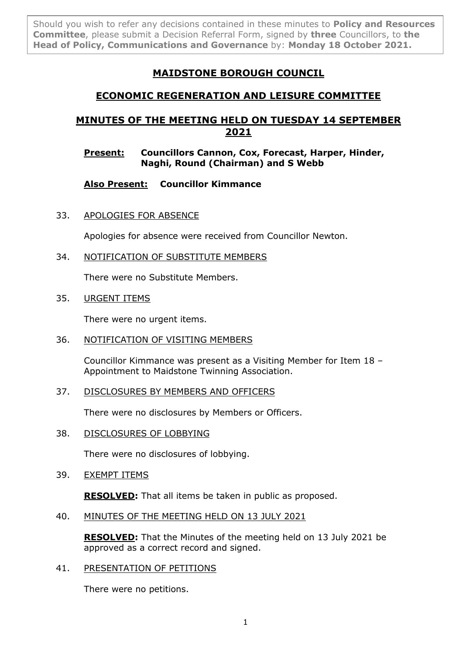Should you wish to refer any decisions contained in these minutes to **Policy and Resources Committee**, please submit a Decision Referral Form, signed by **three** Councillors, to **the Head of Policy, Communications and Governance** by: **Monday 18 October 2021.**

# **MAIDSTONE BOROUGH COUNCIL**

# **ECONOMIC REGENERATION AND LEISURE COMMITTEE**

# **MINUTES OF THE MEETING HELD ON TUESDAY 14 SEPTEMBER 2021**

## **Present: Councillors Cannon, Cox, Forecast, Harper, Hinder, Naghi, Round (Chairman) and S Webb**

**Also Present: Councillor Kimmance**

33. APOLOGIES FOR ABSENCE

Apologies for absence were received from Councillor Newton.

34. NOTIFICATION OF SUBSTITUTE MEMBERS

There were no Substitute Members.

35. URGENT ITEMS

There were no urgent items.

36. NOTIFICATION OF VISITING MEMBERS

Councillor Kimmance was present as a Visiting Member for Item 18 – Appointment to Maidstone Twinning Association.

37. DISCLOSURES BY MEMBERS AND OFFICERS

There were no disclosures by Members or Officers.

38. DISCLOSURES OF LOBBYING

There were no disclosures of lobbying.

39. EXEMPT ITEMS

**RESOLVED:** That all items be taken in public as proposed.

40. MINUTES OF THE MEETING HELD ON 13 JULY 2021

**RESOLVED:** That the Minutes of the meeting held on 13 July 2021 be approved as a correct record and signed.

41. PRESENTATION OF PETITIONS

There were no petitions.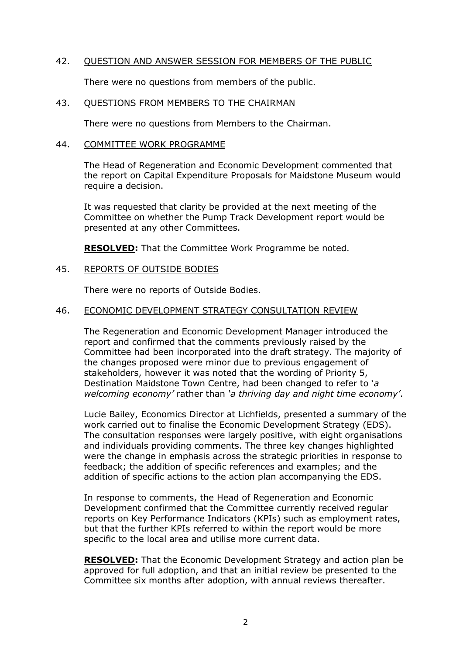### 42. QUESTION AND ANSWER SESSION FOR MEMBERS OF THE PUBLIC

There were no questions from members of the public.

#### 43. QUESTIONS FROM MEMBERS TO THE CHAIRMAN

There were no questions from Members to the Chairman.

#### 44. COMMITTEE WORK PROGRAMME

The Head of Regeneration and Economic Development commented that the report on Capital Expenditure Proposals for Maidstone Museum would require a decision.

It was requested that clarity be provided at the next meeting of the Committee on whether the Pump Track Development report would be presented at any other Committees.

**RESOLVED:** That the Committee Work Programme be noted.

### 45. REPORTS OF OUTSIDE BODIES

There were no reports of Outside Bodies.

#### 46. ECONOMIC DEVELOPMENT STRATEGY CONSULTATION REVIEW

The Regeneration and Economic Development Manager introduced the report and confirmed that the comments previously raised by the Committee had been incorporated into the draft strategy. The majority of the changes proposed were minor due to previous engagement of stakeholders, however it was noted that the wording of Priority 5, Destination Maidstone Town Centre, had been changed to refer to '*a welcoming economy'* rather than *'a thriving day and night time economy'*.

Lucie Bailey, Economics Director at Lichfields, presented a summary of the work carried out to finalise the Economic Development Strategy (EDS). The consultation responses were largely positive, with eight organisations and individuals providing comments. The three key changes highlighted were the change in emphasis across the strategic priorities in response to feedback; the addition of specific references and examples; and the addition of specific actions to the action plan accompanying the EDS.

In response to comments, the Head of Regeneration and Economic Development confirmed that the Committee currently received regular reports on Key Performance Indicators (KPIs) such as employment rates, but that the further KPIs referred to within the report would be more specific to the local area and utilise more current data.

**RESOLVED:** That the Economic Development Strategy and action plan be approved for full adoption, and that an initial review be presented to the Committee six months after adoption, with annual reviews thereafter.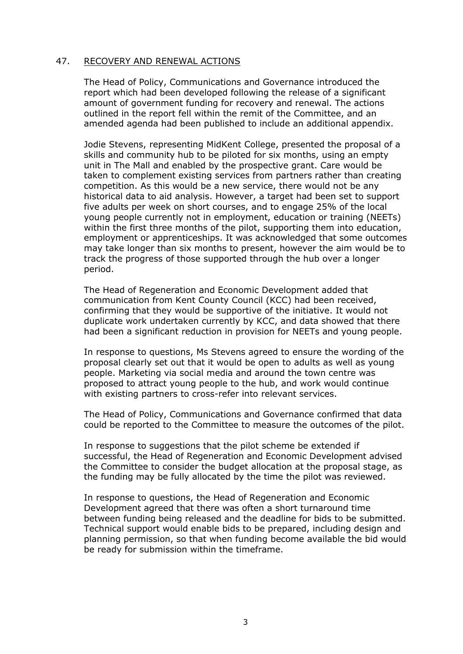### 47. RECOVERY AND RENEWAL ACTIONS

The Head of Policy, Communications and Governance introduced the report which had been developed following the release of a significant amount of government funding for recovery and renewal. The actions outlined in the report fell within the remit of the Committee, and an amended agenda had been published to include an additional appendix.

Jodie Stevens, representing MidKent College, presented the proposal of a skills and community hub to be piloted for six months, using an empty unit in The Mall and enabled by the prospective grant. Care would be taken to complement existing services from partners rather than creating competition. As this would be a new service, there would not be any historical data to aid analysis. However, a target had been set to support five adults per week on short courses, and to engage 25% of the local young people currently not in employment, education or training (NEETs) within the first three months of the pilot, supporting them into education, employment or apprenticeships. It was acknowledged that some outcomes may take longer than six months to present, however the aim would be to track the progress of those supported through the hub over a longer period.

The Head of Regeneration and Economic Development added that communication from Kent County Council (KCC) had been received, confirming that they would be supportive of the initiative. It would not duplicate work undertaken currently by KCC, and data showed that there had been a significant reduction in provision for NEETs and young people.

In response to questions, Ms Stevens agreed to ensure the wording of the proposal clearly set out that it would be open to adults as well as young people. Marketing via social media and around the town centre was proposed to attract young people to the hub, and work would continue with existing partners to cross-refer into relevant services.

The Head of Policy, Communications and Governance confirmed that data could be reported to the Committee to measure the outcomes of the pilot.

In response to suggestions that the pilot scheme be extended if successful, the Head of Regeneration and Economic Development advised the Committee to consider the budget allocation at the proposal stage, as the funding may be fully allocated by the time the pilot was reviewed.

In response to questions, the Head of Regeneration and Economic Development agreed that there was often a short turnaround time between funding being released and the deadline for bids to be submitted. Technical support would enable bids to be prepared, including design and planning permission, so that when funding become available the bid would be ready for submission within the timeframe.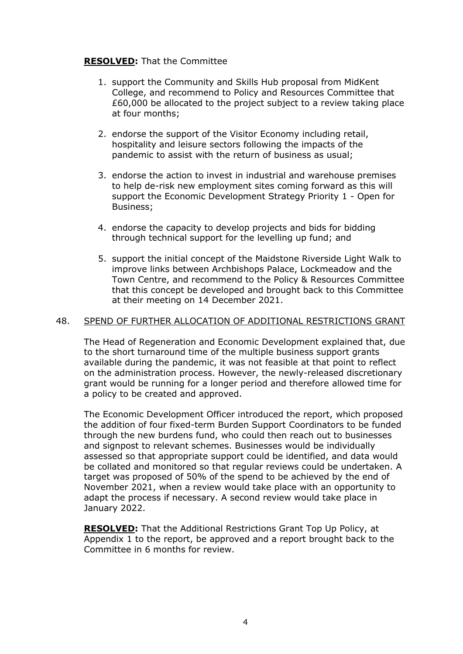## **RESOLVED:** That the Committee

- 1. support the Community and Skills Hub proposal from MidKent College, and recommend to Policy and Resources Committee that £60,000 be allocated to the project subject to a review taking place at four months;
- 2. endorse the support of the Visitor Economy including retail, hospitality and leisure sectors following the impacts of the pandemic to assist with the return of business as usual;
- 3. endorse the action to invest in industrial and warehouse premises to help de-risk new employment sites coming forward as this will support the Economic Development Strategy Priority 1 - Open for Business;
- 4. endorse the capacity to develop projects and bids for bidding through technical support for the levelling up fund; and
- 5. support the initial concept of the Maidstone Riverside Light Walk to improve links between Archbishops Palace, Lockmeadow and the Town Centre, and recommend to the Policy & Resources Committee that this concept be developed and brought back to this Committee at their meeting on 14 December 2021.

#### 48. SPEND OF FURTHER ALLOCATION OF ADDITIONAL RESTRICTIONS GRANT

The Head of Regeneration and Economic Development explained that, due to the short turnaround time of the multiple business support grants available during the pandemic, it was not feasible at that point to reflect on the administration process. However, the newly-released discretionary grant would be running for a longer period and therefore allowed time for a policy to be created and approved.

The Economic Development Officer introduced the report, which proposed the addition of four fixed-term Burden Support Coordinators to be funded through the new burdens fund, who could then reach out to businesses and signpost to relevant schemes. Businesses would be individually assessed so that appropriate support could be identified, and data would be collated and monitored so that regular reviews could be undertaken. A target was proposed of 50% of the spend to be achieved by the end of November 2021, when a review would take place with an opportunity to adapt the process if necessary. A second review would take place in January 2022.

**RESOLVED:** That the Additional Restrictions Grant Top Up Policy, at Appendix 1 to the report, be approved and a report brought back to the Committee in 6 months for review.